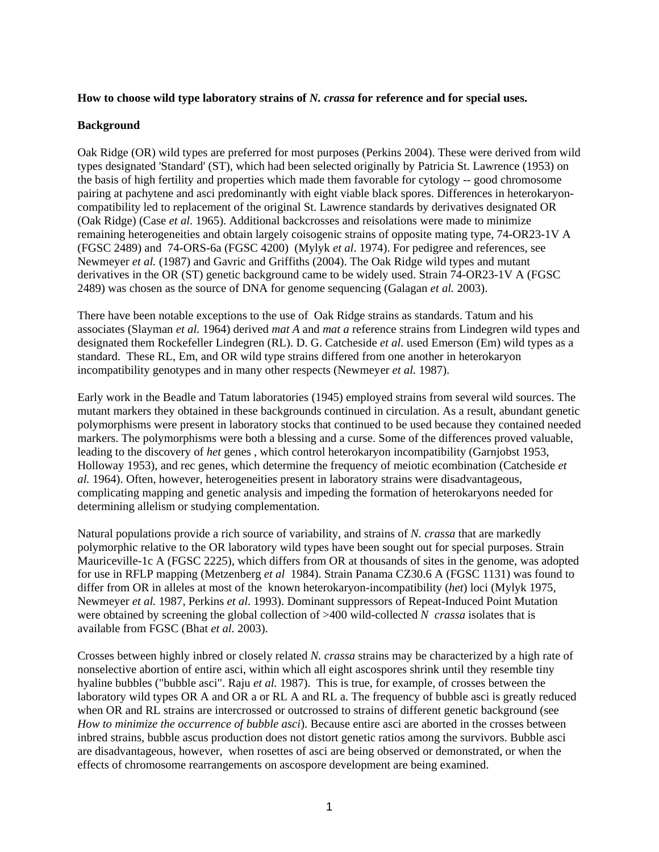## **How to choose wild type laboratory strains of** *N. crassa* **for reference and for special uses.**

## **Background**

Oak Ridge (OR) wild types are preferred for most purposes (Perkins 2004). These were derived from wild types designated 'Standard' (ST), which had been selected originally by Patricia St. Lawrence (1953) on the basis of high fertility and properties which made them favorable for cytology -- good chromosome pairing at pachytene and asci predominantly with eight viable black spores. Differences in heterokaryoncompatibility led to replacement of the original St. Lawrence standards by derivatives designated OR (Oak Ridge) (Case *et al*. 1965). Additional backcrosses and reisolations were made to minimize remaining heterogeneities and obtain largely coisogenic strains of opposite mating type, 74-OR23-1V A (FGSC 2489) and 74-ORS-6a (FGSC 4200) (Mylyk *et al*. 1974). For pedigree and references, see Newmeyer *et al.* (1987) and Gavric and Griffiths (2004). The Oak Ridge wild types and mutant derivatives in the OR (ST) genetic background came to be widely used. Strain 74-OR23-1V A (FGSC 2489) was chosen as the source of DNA for genome sequencing (Galagan *et al.* 2003).

There have been notable exceptions to the use of Oak Ridge strains as standards. Tatum and his associates (Slayman *et al.* 1964) derived *mat A* and *mat a* reference strains from Lindegren wild types and designated them Rockefeller Lindegren (RL). D. G. Catcheside *et al.* used Emerson (Em) wild types as a standard. These RL, Em, and OR wild type strains differed from one another in heterokaryon incompatibility genotypes and in many other respects (Newmeyer *et al.* 1987).

Early work in the Beadle and Tatum laboratories (1945) employed strains from several wild sources. The mutant markers they obtained in these backgrounds continued in circulation. As a result, abundant genetic polymorphisms were present in laboratory stocks that continued to be used because they contained needed markers. The polymorphisms were both a blessing and a curse. Some of the differences proved valuable, leading to the discovery of *het* genes , which control heterokaryon incompatibility (Garnjobst 1953, Holloway 1953), and rec genes, which determine the frequency of meiotic ecombination (Catcheside *et al.* 1964). Often, however, heterogeneities present in laboratory strains were disadvantageous, complicating mapping and genetic analysis and impeding the formation of heterokaryons needed for determining allelism or studying complementation.

Natural populations provide a rich source of variability, and strains of *N. crassa* that are markedly polymorphic relative to the OR laboratory wild types have been sought out for special purposes. Strain Mauriceville-1c A (FGSC 2225), which differs from OR at thousands of sites in the genome, was adopted for use in RFLP mapping (Metzenberg *et al* 1984). Strain Panama CZ30.6 A (FGSC 1131) was found to differ from OR in alleles at most of the known heterokaryon-incompatibility (*het*) loci (Mylyk 1975, Newmeyer *et al.* 1987, Perkins *et al*. 1993). Dominant suppressors of Repeat-Induced Point Mutation were obtained by screening the global collection of >400 wild-collected *N crassa* isolates that is available from FGSC (Bhat *et al.* 2003).

Crosses between highly inbred or closely related *N. crassa* strains may be characterized by a high rate of nonselective abortion of entire asci, within which all eight ascospores shrink until they resemble tiny hyaline bubbles ("bubble asci". Raju *et al.* 1987). This is true, for example, of crosses between the laboratory wild types OR A and OR a or RL A and RL a. The frequency of bubble asci is greatly reduced when OR and RL strains are intercrossed or outcrossed to strains of different genetic background (see *How to minimize the occurrence of bubble asci*). Because entire asci are aborted in the crosses between inbred strains, bubble ascus production does not distort genetic ratios among the survivors. Bubble asci are disadvantageous, however, when rosettes of asci are being observed or demonstrated, or when the effects of chromosome rearrangements on ascospore development are being examined.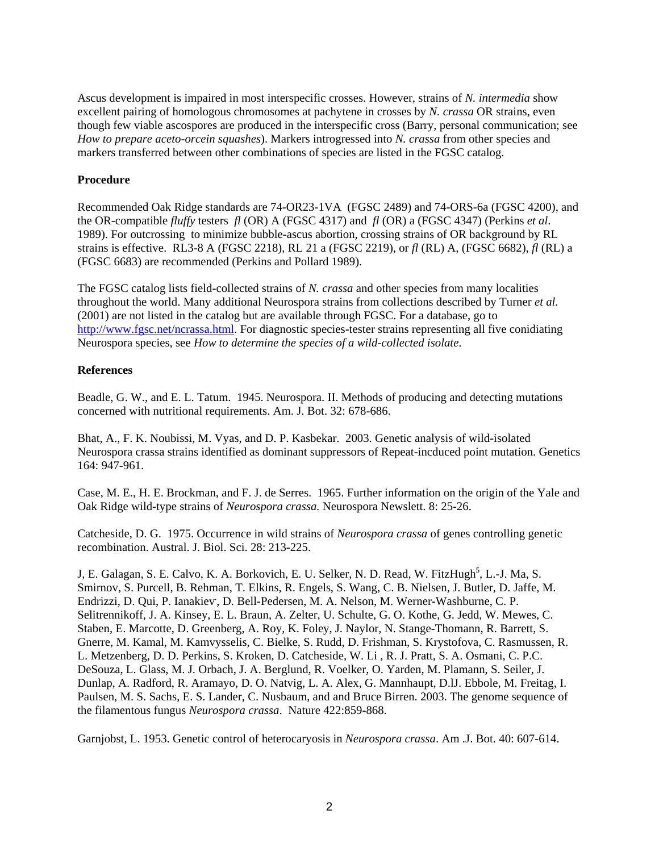Ascus development is impaired in most interspecific crosses. However, strains of *N. intermedia* show excellent pairing of homologous chromosomes at pachytene in crosses by *N. crassa* OR strains, even though few viable ascospores are produced in the interspecific cross (Barry, personal communication; see *How to prepare aceto-orcein squashes*). Markers introgressed into *N. crassa* from other species and markers transferred between other combinations of species are listed in the FGSC catalog.

## **Procedure**

Recommended Oak Ridge standards are 74-OR23-1VA (FGSC 2489) and 74-ORS-6a (FGSC 4200), and the OR-compatible *fluffy* testers *fl* (OR) A (FGSC 4317) and *fl* (OR) a (FGSC 4347) (Perkins *et al*. 1989). For outcrossing to minimize bubble-ascus abortion, crossing strains of OR background by RL strains is effective. RL3-8 A (FGSC 2218), RL 21 a (FGSC 2219), or *fl* (RL) A, (FGSC 6682), *fl* (RL) a (FGSC 6683) are recommended (Perkins and Pollard 1989).

The FGSC catalog lists field-collected strains of *N. crassa* and other species from many localities throughout the world. Many additional Neurospora strains from collections described by Turner *et al.* (2001) are not listed in the catalog but are available through FGSC. For a database, go to [http://www.fgsc.net/ncrassa.html.](http://www.fgsc.net/ncrassa.html) For diagnostic species-tester strains representing all five conidiating Neurospora species, see *How to determine the species of a wild-collected isolate*.

## **References**

Beadle, G. W., and E. L. Tatum. 1945. Neurospora. II. Methods of producing and detecting mutations concerned with nutritional requirements. Am. J. Bot. 32: 678-686.

Bhat, A., F. K. Noubissi, M. Vyas, and D. P. Kasbekar. 2003. Genetic analysis of wild-isolated Neurospora crassa strains identified as dominant suppressors of Repeat-incduced point mutation. Genetics 164: 947-961.

Case, M. E., H. E. Brockman, and F. J. de Serres. 1965. Further information on the origin of the Yale and Oak Ridge wild-type strains of *Neurospora crassa.* Neurospora Newslett. 8: 25-26.

Catcheside, D. G. 1975. Occurrence in wild strains of *Neurospora crassa* of genes controlling genetic recombination. Austral. J. Biol. Sci. 28: 213-225.

J, E. Galagan, S. E. Calvo, K. A. Borkovich, E. U. Selker, N. D. Read, W. FitzHugh<sup>5</sup>, L.-J. Ma, S. Smirnov, S. Purcell, B. Rehman, T. Elkins, R. Engels, S. Wang, C. B. Nielsen, J. Butler, D. Jaffe, M. Endrizzi, D. Qui, P. Ianakiev, D. Bell-Pedersen, M. A. Nelson, M. Werner-Washburne, C. P. Selitrennikoff, J. A. Kinsey, E. L. Braun, A. Zelter, U. Schulte, G. O. Kothe, G. Jedd, W. Mewes, C. Staben, E. Marcotte, D. Greenberg, A. Roy, K. Foley, J. Naylor, N. Stange-Thomann, R. Barrett, S. Gnerre, M. Kamal, M. Kamvysselis, C. Bielke, S. Rudd, D. Frishman, S. Krystofova, C. Rasmussen, R. L. Metzenberg, D. D. Perkins, S. Kroken, D. Catcheside, W. Li , R. J. Pratt, S. A. Osmani, C. P.C. DeSouza, L. Glass, M. J. Orbach, J. A. Berglund, R. Voelker, O. Yarden, M. Plamann, S. Seiler, J. Dunlap, A. Radford, R. Aramayo, D. O. Natvig, L. A. Alex, G. Mannhaupt, D.lJ. Ebbole, M. Freitag, I. Paulsen, M. S. Sachs, E. S. Lander, C. Nusbaum, and and Bruce Birren. 2003. The genome sequence of the filamentous fungus *Neurospora crassa*. Nature 422:859-868.

Garnjobst, L. 1953. Genetic control of heterocaryosis in *Neurospora crassa*. Am .J. Bot. 40: 607-614.